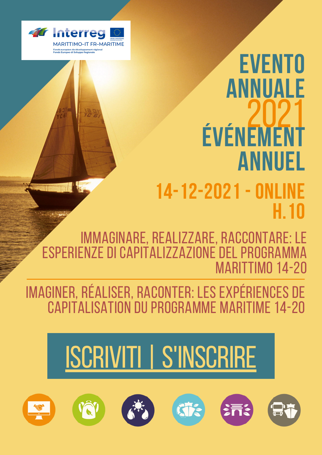

## **EVENTO ANNUALE ÉVÉNEMENT ANNUEL** 2021 **14-12-2021-ONLINE H.10**

IMMAGINARE, REALIZZARE, RACCONTARE: LE ESPERIENZE DI CAPITALIZZAZIONE DEL PROGRAMMA MARITTIMO 14-20

IMAGINER, RÉALISER, RACONTER: LES EXPÉRIENCES DE CAPITALISATION DU PROGRAMME MARITIME 14-20

## ISCRIVITI | S'INSCRIRE